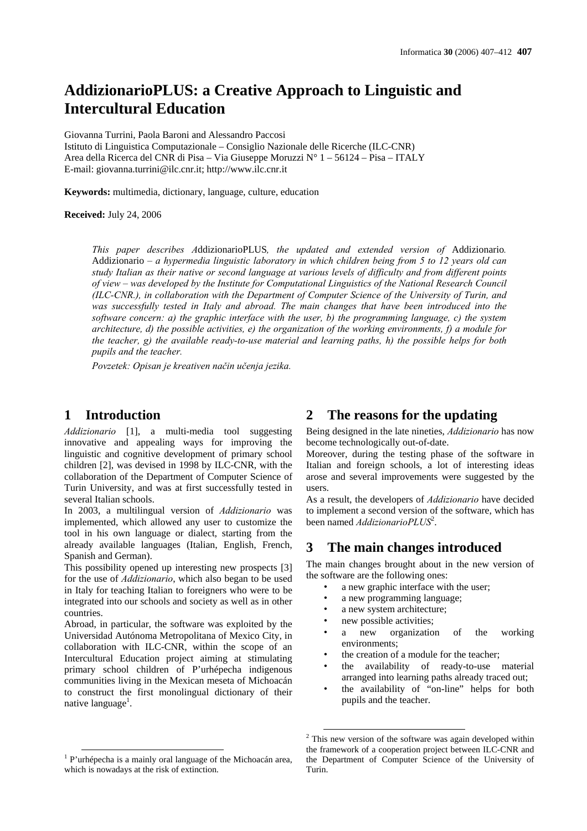# **AddizionarioPLUS: a Creative Approach to Linguistic and Intercultural Education**

Giovanna Turrini, Paola Baroni and Alessandro Paccosi Istituto di Linguistica Computazionale – Consiglio Nazionale delle Ricerche (ILC-CNR) Area della Ricerca del CNR di Pisa – Via Giuseppe Moruzzi N° 1 – 56124 – Pisa – ITALY E-mail: giovanna.turrini@ilc.cnr.it; http://www.ilc.cnr.it

**Keywords:** multimedia, dictionary, language, culture, education

**Received:** July 24, 2006

*This paper describes A*ddizionarioPLUS*, the updated and extended version of* Addizionario*.*  Addizionario *– a hypermedia linguistic laboratory in which children being from 5 to 12 years old can study Italian as their native or second language at various levels of difficulty and from different points of view – was developed by the Institute for Computational Linguistics of the National Research Council (ILC-CNR.), in collaboration with the Department of Computer Science of the University of Turin, and was successfully tested in Italy and abroad. The main changes that have been introduced into the software concern: a) the graphic interface with the user, b) the programming language, c) the system architecture, d) the possible activities, e) the organization of the working environments, f) a module for the teacher, g) the available ready-to-use material and learning paths, h) the possible helps for both pupils and the teacher.* 

*Povzetek: Opisan je kreativen način učenja jezika.* 

### **1 Introduction**

*Addizionario* [1], a multi-media tool suggesting innovative and appealing ways for improving the linguistic and cognitive development of primary school children [2], was devised in 1998 by ILC-CNR, with the collaboration of the Department of Computer Science of Turin University, and was at first successfully tested in several Italian schools.

In 2003, a multilingual version of *Addizionario* was implemented, which allowed any user to customize the tool in his own language or dialect, starting from the already available languages (Italian, English, French, Spanish and German).

This possibility opened up interesting new prospects [3] for the use of *Addizionario*, which also began to be used in Italy for teaching Italian to foreigners who were to be integrated into our schools and society as well as in other countries.

Abroad, in particular, the software was exploited by the Universidad Autónoma Metropolitana of Mexico City, in collaboration with ILC-CNR, within the scope of an Intercultural Education project aiming at stimulating primary school children of P'urhépecha indigenous communities living in the Mexican meseta of Michoacán to construct the first monolingual dictionary of their native language<sup>1</sup>.

# **2 The reasons for the updating**

Being designed in the late nineties, *Addizionario* has now become technologically out-of-date.

Moreover, during the testing phase of the software in Italian and foreign schools, a lot of interesting ideas arose and several improvements were suggested by the users.

As a result, the developers of *Addizionario* have decided to implement a second version of the software, which has been named *AddizionarioPLUS*<sup>2</sup>.

# **3 The main changes introduced**

The main changes brought about in the new version of the software are the following ones:

- a new graphic interface with the user;
- a new programming language;
- a new system architecture;
- new possible activities;
- a new organization of the working environments;
- the creation of a module for the teacher:
- the availability of ready-to-use material arranged into learning paths already traced out;
- the availability of "on-line" helps for both pupils and the teacher.

<sup>&</sup>lt;sup>1</sup> P'urhépecha is a mainly oral language of the Michoacán area, which is nowadays at the risk of extinction.

<sup>&</sup>lt;sup>2</sup> This new version of the software was again developed within the framework of a cooperation project between ILC-CNR and the Department of Computer Science of the University of Turin.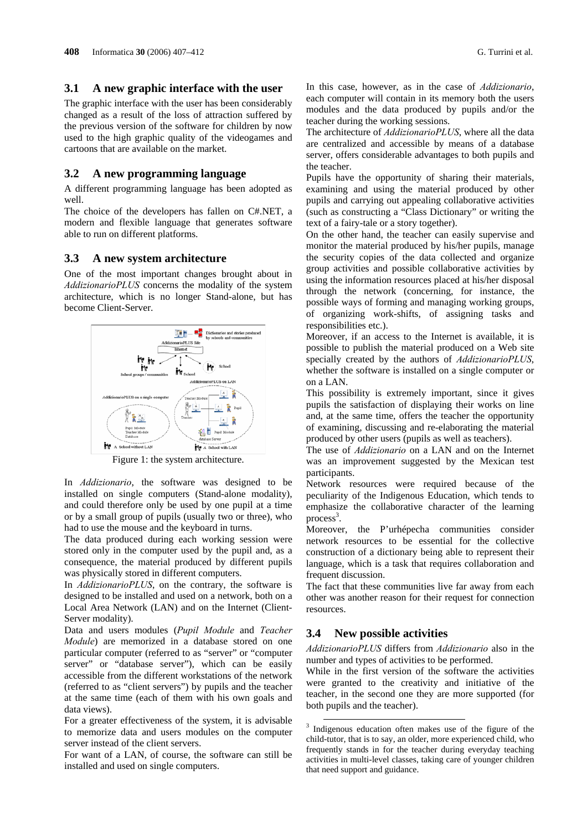#### **3.1 A new graphic interface with the user**

The graphic interface with the user has been considerably changed as a result of the loss of attraction suffered by the previous version of the software for children by now used to the high graphic quality of the videogames and cartoons that are available on the market.

#### **3.2 A new programming language**

A different programming language has been adopted as well.

The choice of the developers has fallen on C#.NET, a modern and flexible language that generates software able to run on different platforms.

#### **3.3 A new system architecture**

One of the most important changes brought about in *AddizionarioPLUS* concerns the modality of the system architecture, which is no longer Stand-alone, but has become Client-Server.



Figure 1: the system architecture.

In *Addizionario*, the software was designed to be installed on single computers (Stand-alone modality), and could therefore only be used by one pupil at a time or by a small group of pupils (usually two or three), who had to use the mouse and the keyboard in turns.

The data produced during each working session were stored only in the computer used by the pupil and, as a consequence, the material produced by different pupils was physically stored in different computers.

In *AddizionarioPLUS*, on the contrary, the software is designed to be installed and used on a network, both on a Local Area Network (LAN) and on the Internet (Client-Server modality).

Data and users modules (*Pupil Module* and *Teacher Module*) are memorized in a database stored on one particular computer (referred to as "server" or "computer server" or "database server"), which can be easily accessible from the different workstations of the network (referred to as "client servers") by pupils and the teacher at the same time (each of them with his own goals and data views).

For a greater effectiveness of the system, it is advisable to memorize data and users modules on the computer server instead of the client servers.

For want of a LAN, of course, the software can still be installed and used on single computers.

In this case, however, as in the case of *Addizionario*, each computer will contain in its memory both the users modules and the data produced by pupils and/or the teacher during the working sessions.

The architecture of *AddizionarioPLUS*, where all the data are centralized and accessible by means of a database server, offers considerable advantages to both pupils and the teacher.

Pupils have the opportunity of sharing their materials, examining and using the material produced by other pupils and carrying out appealing collaborative activities (such as constructing a "Class Dictionary" or writing the text of a fairy-tale or a story together).

On the other hand, the teacher can easily supervise and monitor the material produced by his/her pupils, manage the security copies of the data collected and organize group activities and possible collaborative activities by using the information resources placed at his/her disposal through the network (concerning, for instance, the possible ways of forming and managing working groups, of organizing work-shifts, of assigning tasks and responsibilities etc.).

Moreover, if an access to the Internet is available, it is possible to publish the material produced on a Web site specially created by the authors of *AddizionarioPLUS*, whether the software is installed on a single computer or on a LAN.

This possibility is extremely important, since it gives pupils the satisfaction of displaying their works on line and, at the same time, offers the teacher the opportunity of examining, discussing and re-elaborating the material produced by other users (pupils as well as teachers).

The use of *Addizionario* on a LAN and on the Internet was an improvement suggested by the Mexican test participants.

Network resources were required because of the peculiarity of the Indigenous Education, which tends to emphasize the collaborative character of the learning  $process<sup>3</sup>$ .

Moreover, the P'urhépecha communities consider network resources to be essential for the collective construction of a dictionary being able to represent their language, which is a task that requires collaboration and frequent discussion.

The fact that these communities live far away from each other was another reason for their request for connection resources.

### **3.4 New possible activities**

*AddizionarioPLUS* differs from *Addizionario* also in the number and types of activities to be performed.

While in the first version of the software the activities were granted to the creativity and initiative of the teacher, in the second one they are more supported (for both pupils and the teacher).

<sup>&</sup>lt;sup>3</sup> Indigenous education often makes use of the figure of the child-tutor, that is to say, an older, more experienced child, who frequently stands in for the teacher during everyday teaching activities in multi-level classes, taking care of younger children that need support and guidance.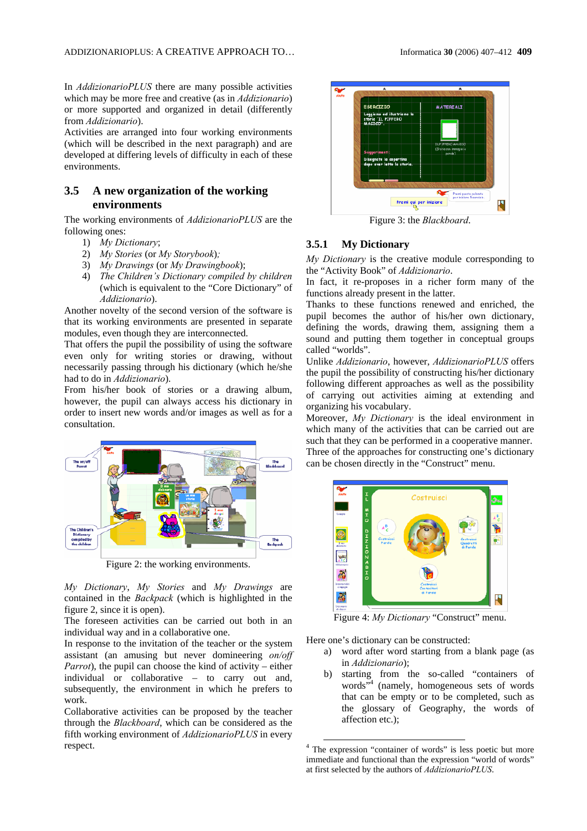In *AddizionarioPLUS* there are many possible activities which may be more free and creative (as in *Addizionario*) or more supported and organized in detail (differently from *Addizionario*).

Activities are arranged into four working environments (which will be described in the next paragraph) and are developed at differing levels of difficulty in each of these environments.

### **3.5 A new organization of the working environments**

The working environments of *AddizionarioPLUS* are the following ones:

- 1) *My Dictionary*;
- 2) *My Stories* (or *My Storybook*)*;*
- 3) *My Drawings* (or *My Drawingbook*);
- 4) *The Children's Dictionary compiled by children* (which is equivalent to the "Core Dictionary" of *Addizionario*).

Another novelty of the second version of the software is that its working environments are presented in separate modules, even though they are interconnected.

That offers the pupil the possibility of using the software even only for writing stories or drawing, without necessarily passing through his dictionary (which he/she had to do in *Addizionario*).

From his/her book of stories or a drawing album, however, the pupil can always access his dictionary in order to insert new words and/or images as well as for a consultation.



Figure 2: the working environments.

*My Dictionary*, *My Stories* and *My Drawings* are contained in the *Backpack* (which is highlighted in the figure 2, since it is open).

The foreseen activities can be carried out both in an individual way and in a collaborative one.

In response to the invitation of the teacher or the system assistant (an amusing but never domineering *on/off Parrot*), the pupil can choose the kind of activity – either individual or collaborative – to carry out and, subsequently, the environment in which he prefers to work.

Collaborative activities can be proposed by the teacher through the *Blackboard*, which can be considered as the fifth working environment of *AddizionarioPLUS* in every respect.



Figure 3: the *Blackboard*.

#### **3.5.1 My Dictionary**

*My Dictionary* is the creative module corresponding to the "Activity Book" of *Addizionario*.

In fact, it re-proposes in a richer form many of the functions already present in the latter.

Thanks to these functions renewed and enriched, the pupil becomes the author of his/her own dictionary, defining the words, drawing them, assigning them a sound and putting them together in conceptual groups called "worlds".

Unlike *Addizionario*, however, *AddizionarioPLUS* offers the pupil the possibility of constructing his/her dictionary following different approaches as well as the possibility of carrying out activities aiming at extending and organizing his vocabulary.

Moreover, *My Dictionary* is the ideal environment in which many of the activities that can be carried out are such that they can be performed in a cooperative manner. Three of the approaches for constructing one's dictionary can be chosen directly in the "Construct" menu.



Figure 4: *My Dictionary* "Construct" menu.

Here one's dictionary can be constructed:

- a) word after word starting from a blank page (as in *Addizionario*);
- b) starting from the so-called "containers of words"4 (namely, homogeneous sets of words that can be empty or to be completed, such as the glossary of Geography, the words of affection etc.);

 <sup>4</sup> The expression "container of words" is less poetic but more immediate and functional than the expression "world of words" at first selected by the authors of *AddizionarioPLUS*.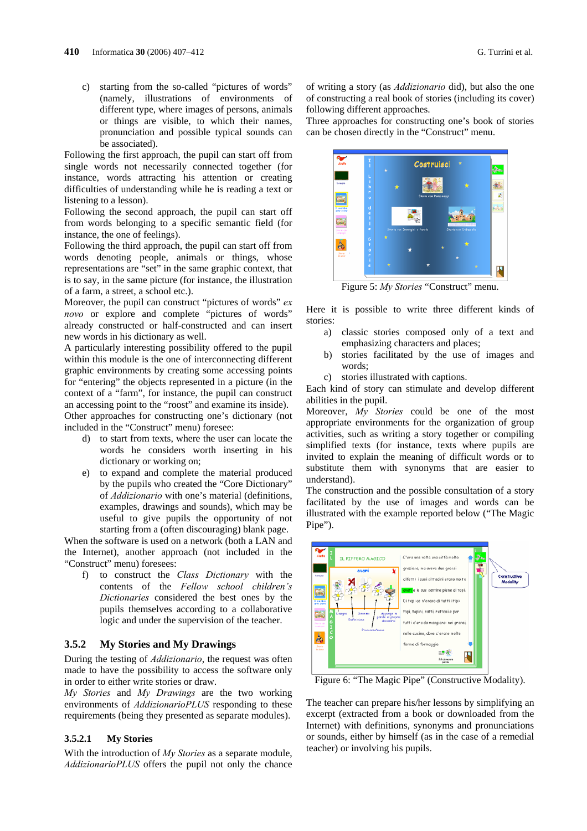c) starting from the so-called "pictures of words" (namely, illustrations of environments of different type, where images of persons, animals or things are visible, to which their names, pronunciation and possible typical sounds can be associated).

Following the first approach, the pupil can start off from single words not necessarily connected together (for instance, words attracting his attention or creating difficulties of understanding while he is reading a text or listening to a lesson).

Following the second approach, the pupil can start off from words belonging to a specific semantic field (for instance, the one of feelings).

Following the third approach, the pupil can start off from words denoting people, animals or things, whose representations are "set" in the same graphic context, that is to say, in the same picture (for instance, the illustration of a farm, a street, a school etc.).

Moreover, the pupil can construct "pictures of words" *ex novo* or explore and complete "pictures of words" already constructed or half-constructed and can insert new words in his dictionary as well.

A particularly interesting possibility offered to the pupil within this module is the one of interconnecting different graphic environments by creating some accessing points for "entering" the objects represented in a picture (in the context of a "farm", for instance, the pupil can construct an accessing point to the "roost" and examine its inside).

Other approaches for constructing one's dictionary (not included in the "Construct" menu) foresee:

- d) to start from texts, where the user can locate the words he considers worth inserting in his dictionary or working on;
- e) to expand and complete the material produced by the pupils who created the "Core Dictionary" of *Addizionario* with one's material (definitions, examples, drawings and sounds), which may be useful to give pupils the opportunity of not starting from a (often discouraging) blank page.

When the software is used on a network (both a LAN and the Internet), another approach (not included in the "Construct" menu) foresees:

f) to construct the *Class Dictionary* with the contents of the *Fellow school children's Dictionaries* considered the best ones by the pupils themselves according to a collaborative logic and under the supervision of the teacher.

#### **3.5.2 My Stories and My Drawings**

During the testing of *Addizionario*, the request was often made to have the possibility to access the software only in order to either write stories or draw.

*My Stories* and *My Drawings* are the two working environments of *AddizionarioPLUS* responding to these requirements (being they presented as separate modules).

#### **3.5.2.1 My Stories**

With the introduction of *My Stories* as a separate module, *AddizionarioPLUS* offers the pupil not only the chance

of writing a story (as *Addizionario* did), but also the one of constructing a real book of stories (including its cover) following different approaches.

Three approaches for constructing one's book of stories can be chosen directly in the "Construct" menu.



Figure 5: *My Stories* "Construct" menu.

Here it is possible to write three different kinds of stories:

- a) classic stories composed only of a text and emphasizing characters and places;
- b) stories facilitated by the use of images and words;
- c) stories illustrated with captions.

Each kind of story can stimulate and develop different abilities in the pupil.

Moreover, *My Stories* could be one of the most appropriate environments for the organization of group activities, such as writing a story together or compiling simplified texts (for instance, texts where pupils are invited to explain the meaning of difficult words or to substitute them with synonyms that are easier to understand).

The construction and the possible consultation of a story facilitated by the use of images and words can be illustrated with the example reported below ("The Magic Pipe").



Figure 6: "The Magic Pipe" (Constructive Modality).

The teacher can prepare his/her lessons by simplifying an excerpt (extracted from a book or downloaded from the Internet) with definitions, synonyms and pronunciations or sounds, either by himself (as in the case of a remedial teacher) or involving his pupils.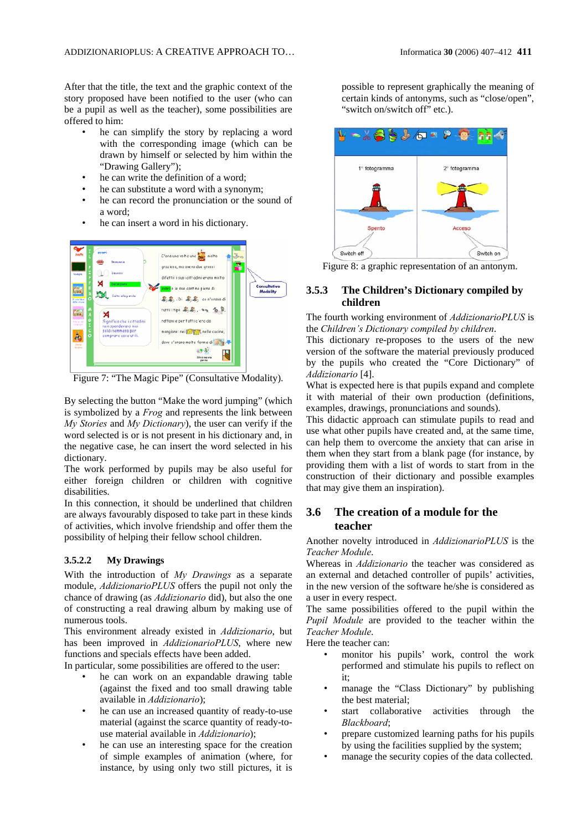After that the title, the text and the graphic context of the story proposed have been notified to the user (who can be a pupil as well as the teacher), some possibilities are offered to him:

- he can simplify the story by replacing a word with the corresponding image (which can be drawn by himself or selected by him within the "Drawing Gallery");
- he can write the definition of a word;
- he can substitute a word with a synonym;
- he can record the pronunciation or the sound of a word;
- he can insert a word in his dictionary.



Figure 7: "The Magic Pipe" (Consultative Modality).

By selecting the button "Make the word jumping" (which is symbolized by a *Frog* and represents the link between *My Stories* and *My Dictionary*), the user can verify if the word selected is or is not present in his dictionary and, in the negative case, he can insert the word selected in his dictionary.

The work performed by pupils may be also useful for either foreign children or children with cognitive disabilities.

In this connection, it should be underlined that children are always favourably disposed to take part in these kinds of activities, which involve friendship and offer them the possibility of helping their fellow school children.

#### **3.5.2.2 My Drawings**

With the introduction of *My Drawings* as a separate module, *AddizionarioPLUS* offers the pupil not only the chance of drawing (as *Addizionario* did), but also the one of constructing a real drawing album by making use of numerous tools.

This environment already existed in *Addizionario*, but has been improved in *AddizionarioPLUS*, where new functions and specials effects have been added.

In particular, some possibilities are offered to the user:

- he can work on an expandable drawing table (against the fixed and too small drawing table available in *Addizionario*);
- he can use an increased quantity of ready-to-use material (against the scarce quantity of ready-touse material available in *Addizionario*);
- he can use an interesting space for the creation of simple examples of animation (where, for instance, by using only two still pictures, it is

possible to represent graphically the meaning of certain kinds of antonyms, such as "close/open", "switch on/switch off" etc.).



Figure 8: a graphic representation of an antonym.

### **3.5.3 The Children's Dictionary compiled by children**

The fourth working environment of *AddizionarioPLUS* is the *Children's Dictionary compiled by children*.

This dictionary re-proposes to the users of the new version of the software the material previously produced by the pupils who created the "Core Dictionary" of *Addizionario* [4].

What is expected here is that pupils expand and complete it with material of their own production (definitions, examples, drawings, pronunciations and sounds).

This didactic approach can stimulate pupils to read and use what other pupils have created and, at the same time, can help them to overcome the anxiety that can arise in them when they start from a blank page (for instance, by providing them with a list of words to start from in the construction of their dictionary and possible examples that may give them an inspiration).

# **3.6 The creation of a module for the teacher**

Another novelty introduced in *AddizionarioPLUS* is the *Teacher Module*.

Whereas in *Addizionario* the teacher was considered as an external and detached controller of pupils' activities, in the new version of the software he/she is considered as a user in every respect.

The same possibilities offered to the pupil within the *Pupil Module* are provided to the teacher within the *Teacher Module*.

Here the teacher can:

- monitor his pupils' work, control the work performed and stimulate his pupils to reflect on it;
- manage the "Class Dictionary" by publishing the best material;
- start collaborative activities through the *Blackboard*;
- prepare customized learning paths for his pupils by using the facilities supplied by the system;
- manage the security copies of the data collected.